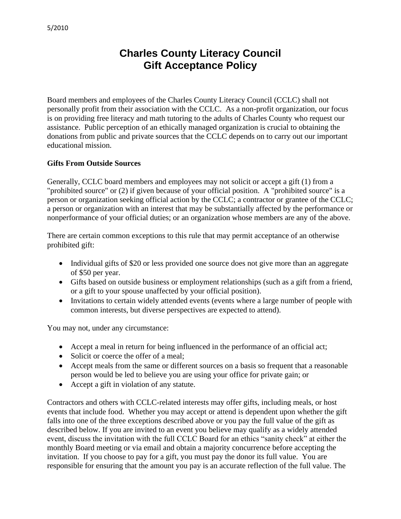## **Charles County Literacy Council Gift Acceptance Policy**

Board members and employees of the Charles County Literacy Council (CCLC) shall not personally profit from their association with the CCLC. As a non-profit organization, our focus is on providing free literacy and math tutoring to the adults of Charles County who request our assistance. Public perception of an ethically managed organization is crucial to obtaining the donations from public and private sources that the CCLC depends on to carry out our important educational mission.

## **Gifts From Outside Sources**

Generally, CCLC board members and employees may not solicit or accept a gift (1) from a "prohibited source" or (2) if given because of your official position. A "prohibited source" is a person or organization seeking official action by the CCLC; a contractor or grantee of the CCLC; a person or organization with an interest that may be substantially affected by the performance or nonperformance of your official duties; or an organization whose members are any of the above.

There are certain common exceptions to this rule that may permit acceptance of an otherwise prohibited gift:

- Individual gifts of \$20 or less provided one source does not give more than an aggregate of \$50 per year.
- Gifts based on outside business or employment relationships (such as a gift from a friend, or a gift to your spouse unaffected by your official position).
- Invitations to certain widely attended events (events where a large number of people with common interests, but diverse perspectives are expected to attend).

You may not, under any circumstance:

- Accept a meal in return for being influenced in the performance of an official act;
- Solicit or coerce the offer of a meal;
- Accept meals from the same or different sources on a basis so frequent that a reasonable person would be led to believe you are using your office for private gain; or
- Accept a gift in violation of any statute.

Contractors and others with CCLC-related interests may offer gifts, including meals, or host events that include food. Whether you may accept or attend is dependent upon whether the gift falls into one of the three exceptions described above or you pay the full value of the gift as described below. If you are invited to an event you believe may qualify as a widely attended event, discuss the invitation with the full CCLC Board for an ethics "sanity check" at either the monthly Board meeting or via email and obtain a majority concurrence before accepting the invitation. If you choose to pay for a gift, you must pay the donor its full value. You are responsible for ensuring that the amount you pay is an accurate reflection of the full value. The